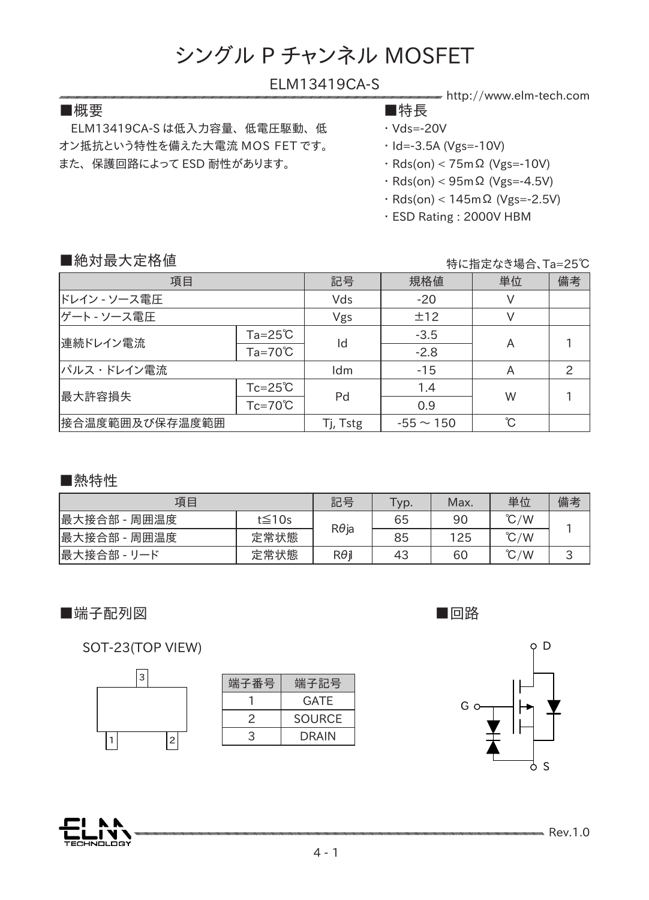#### ELM13419CA-S

#### ■概要 ■特長

 ELM13419CA-S は低入力容量、 低電圧駆動、 低 オン抵抗という特性を備えた大電流 MOS FET です。 また、 保護回路によって ESD 耐性があります。

- http://www.elm-tech.com
- ・ Vds=-20V
	-
- ・ Id=-3.5A (Vgs=-10V)
- ・ Rds(on) < 75mΩ (Vgs=-10V)
- ・ Rds(on) < 95mΩ (Vgs=-4.5V)
- ・ Rds(on) < 145mΩ (Vgs=-2.5V)
- ・ ESD Rating : 2000V HBM

#### ■絶対最大定格値

特に指定なき場合、Ta=25℃

| 項目             |                    | 記号       | 規格値            | 単位 | 備考 |
|----------------|--------------------|----------|----------------|----|----|
| ドレイン - ソース電圧   |                    | Vds      | $-20$          |    |    |
| ゲート - ソース電圧    |                    | Vgs      | ±12            |    |    |
| 連続ドレイン電流       | $Ta = 25^{\circ}C$ | Id       | $-3.5$         |    |    |
|                | $Ta=70^{\circ}C$   |          | $-2.8$         | A  |    |
| パルス・ドレイン電流     |                    | Idm      | $-15$          | A  | 2  |
| 最大許容損失         | $Tc = 25^{\circ}C$ | Pd       | 1.4            | W  |    |
|                | $Tc=70^{\circ}C$   |          | 0.9            |    |    |
| 接合温度範囲及び保存温度範囲 |                    | Tj, Tstg | $-55 \sim 150$ | °C |    |

#### ■熱特性

| 項目           |              | 記号           | $\tau_{\mathsf{yp}.}$ | Max. | 単位            | 備考                            |
|--------------|--------------|--------------|-----------------------|------|---------------|-------------------------------|
| 最大接合部 - 周囲温度 | $t \leq 10s$ | $R\theta$ ja | 65                    | 90   | $\degree$ C/W |                               |
| 最大接合部 - 周囲温度 | 定常状態         |              | 85                    | 125  | $\degree$ C/W |                               |
| 最大接合部 - リード  | 定常状態         | $R\theta$ i  | 43                    | 60   | $\degree$ C/W | $\overline{\phantom{0}}$<br>پ |

#### ■端子配列図 ■回路

 $\vert$ 1

SOT-23(TOP VIEW)

�

|2

|   | 端子番号 | 端子記号          |
|---|------|---------------|
|   |      | <b>GATF</b>   |
|   |      | <b>SOURCE</b> |
| 2 | っ    | <b>DRAIN</b>  |





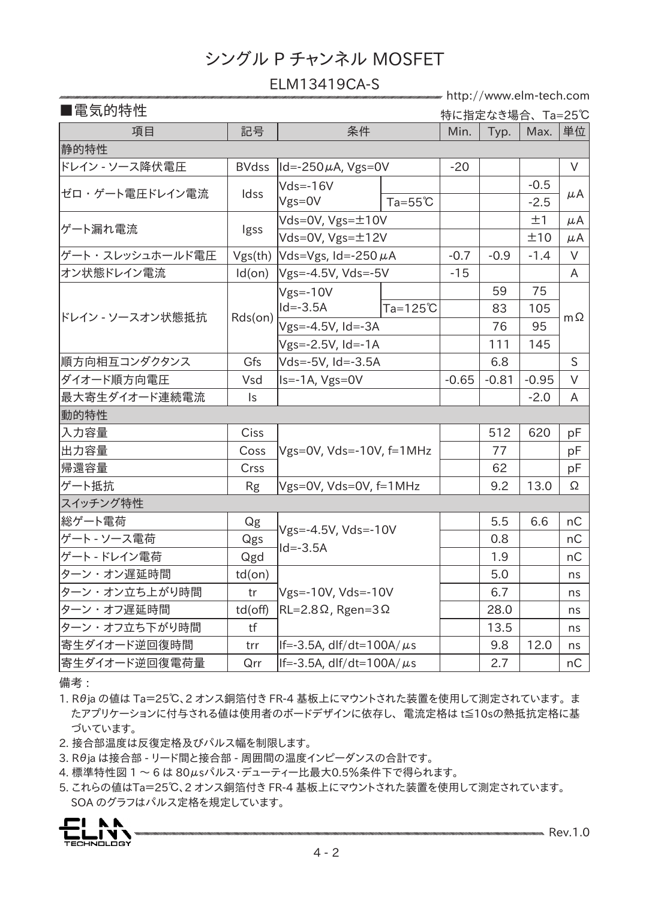#### ELM13419CA-S

http://www.elm-tech.com

| ■電気的特性           |                |                                                                 |                    | 特に指定なき場合、Ta=25℃ |         |                  |           |  |
|------------------|----------------|-----------------------------------------------------------------|--------------------|-----------------|---------|------------------|-----------|--|
| 項目               | 記号             | 条件                                                              |                    | Min.            | Typ.    | Max.             | 単位        |  |
| 静的特性             |                |                                                                 |                    |                 |         |                  |           |  |
| ドレイン - ソース降伏電圧   | <b>BVdss</b>   | $ Id = -250 \mu A$ , Vgs=0V                                     |                    | $-20$           |         |                  | $\vee$    |  |
| ゼロ・ゲート電圧ドレイン電流   | Idss           | $Vds = -16V$<br>$Vgs=0V$                                        | $Ta = 55^{\circ}C$ |                 |         | $-0.5$<br>$-2.5$ | μA        |  |
| ゲート漏れ電流          | Igss           | Vds=0V, $Vgs = ±10V$                                            |                    |                 |         | ±1               | μA        |  |
|                  |                | $Vds = OV, Vgs = \pm 12V$                                       |                    |                 |         | ±10              | μA        |  |
| ゲート・スレッシュホールド電圧  | Vgs(th)        | Vds=Vgs, Id=-250 $\mu$ A                                        |                    | $-0.7$          | $-0.9$  | $-1.4$           | $\vee$    |  |
| オン状態ドレイン電流       | Id(on)         | $Vgs = -4.5V$ , Vds=-5V                                         |                    | $-15$           |         |                  | A         |  |
|                  |                | $Vgs = -10V$                                                    |                    |                 | 59      | 75               |           |  |
|                  |                | $Id = -3.5A$                                                    | Ta=125℃            |                 | 83      | 105              |           |  |
| ドレイン - ソースオン状態抵抗 | Rds(on)        | Vgs=-4.5V, Id=-3A                                               |                    |                 | 76      | 95               | $m\Omega$ |  |
|                  |                | Vgs=-2.5V, Id=-1A                                               |                    |                 | 111     | 145              |           |  |
| 順方向相互コンダクタンス     | Gfs            | Vds=-5V, Id=-3.5A                                               |                    |                 | 6.8     |                  | S         |  |
| ダイオード順方向電圧       | Vsd            | Is=-1A, Vgs=0V                                                  |                    | $-0.65$         | $-0.81$ | $-0.95$          | $\vee$    |  |
| 最大寄生ダイオード連続電流    | $\mathsf{I}$ s |                                                                 |                    |                 |         | $-2.0$           | A         |  |
| 動的特性             |                |                                                                 |                    |                 |         |                  |           |  |
| 入力容量             | <b>Ciss</b>    |                                                                 |                    |                 | 512     | 620              | рF        |  |
| 出力容量             | Coss           | $Vgs=0V$ , $Vds=-10V$ , $f=1MHz$                                |                    |                 | 77      |                  | рF        |  |
| 帰還容量             | Crss           |                                                                 |                    |                 | 62      |                  | рF        |  |
| ゲート抵抗            | <b>Rg</b>      | Vgs=0V, Vds=0V, f=1MHz                                          |                    |                 | 9.2     | 13.0             | Ω         |  |
| スイッチング特性         |                |                                                                 |                    |                 |         |                  |           |  |
| 総ゲート電荷           | Qg             | Vgs=-4.5V, Vds=-10V<br>$Id = -3.5A$                             |                    |                 | 5.5     | 6.6              | nC        |  |
| ゲート - ソース電荷      | Qgs            |                                                                 |                    |                 | 0.8     |                  | nC        |  |
| ゲート - ドレイン電荷     | Qgd            |                                                                 |                    |                 | 1.9     |                  | nC        |  |
| ターン・オン遅延時間       | $td($ on $)$   | $Vgs = -10V$ , $Vds = -10V$<br>$RL=2.8\Omega$ , Rgen=3 $\Omega$ |                    |                 | 5.0     |                  | ns        |  |
| ターン・オン立ち上がり時間    | tr             |                                                                 |                    |                 | 6.7     |                  | ns        |  |
| ターン・オフ遅延時間       | td(off)        |                                                                 |                    |                 | 28.0    |                  | ns        |  |
| ターン・オフ立ち下がり時間    | tf             |                                                                 |                    |                 | 13.5    |                  | ns        |  |
| 寄生ダイオード逆回復時間     | trr            | $ $ If=-3.5A, dlf/dt=100A/ $\mu$ s                              |                    |                 | 9.8     | 12.0             | ns        |  |
| 寄生ダイオード逆回復電荷量    | Qrr            | $ $ If=-3.5A, dlf/dt=100A/ $\mu$ s                              |                    |                 | 2.7     |                  | nC        |  |

備考 :

1. Rθja の値は Ta=25℃、2 オンス銅箔付き FR-4 基板上にマウントされた装置を使用して測定されています。 ま たアプリケーションに付与される値は使用者のボードデザインに依存し、 電流定格は t≦10sの熱抵抗定格に基 づいています。

2. 接合部温度は反復定格及びパルス幅を制限します。

3. Rθja は接合部 - リード間と接合部 - 周囲間の温度インピーダンスの合計です。

4. 標準特性図 1 ~ 6 は 80μsパルス・デューティー比最大0.5%条件下で得られます。

5. これらの値はTa=25℃、2 オンス銅箔付き FR-4 基板上にマウントされた装置を使用して測定されています。 SOA のグラフはパルス定格を規定しています。

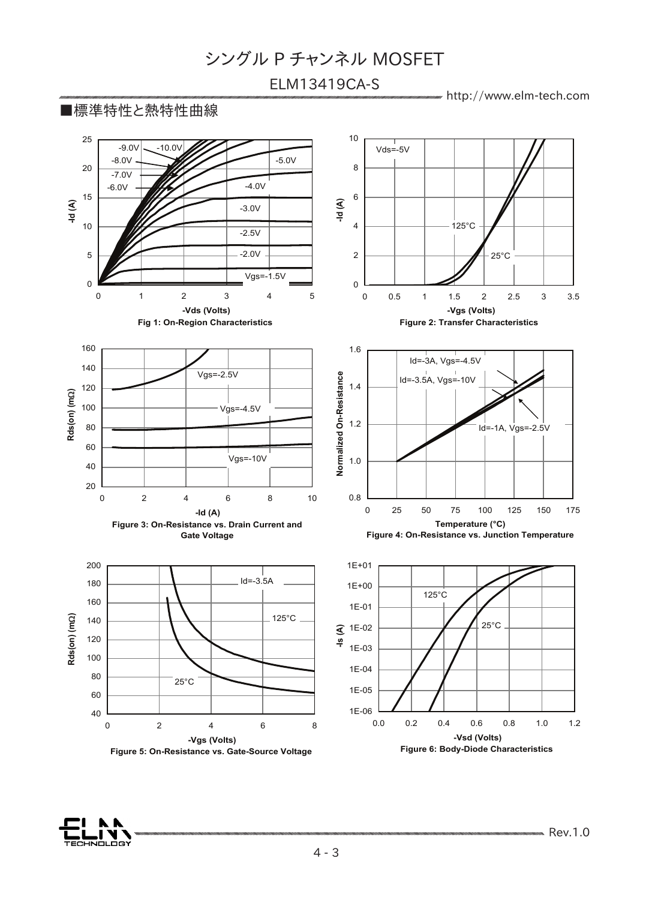### ELM13419CA-S

http://www.elm-tech.com